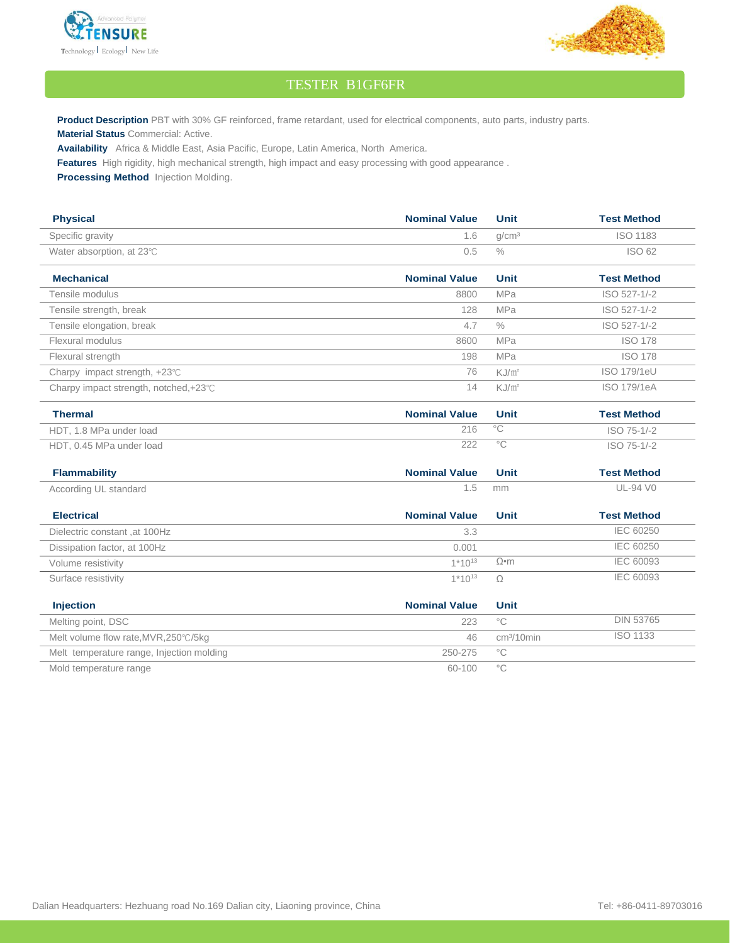



## TESTER B1GF6FR

Product Description PBT with 30% GF reinforced, frame retardant, used for electrical components, auto parts, industry parts. **Material Status** Commercial: Active.

**Availability** Africa & Middle East, Asia Pacific, Europe, Latin America, North America.

**Features** High rigidity, high mechanical strength, high impact and easy processing with good appearance .

**Processing Method** Injection Molding.

| <b>Physical</b>                           | <b>Nominal Value</b> | <b>Unit</b>       | <b>Test Method</b> |
|-------------------------------------------|----------------------|-------------------|--------------------|
| Specific gravity                          | 1.6                  | g/cm <sup>3</sup> | <b>ISO 1183</b>    |
| Water absorption, at 23°C                 | 0.5                  | $\frac{0}{0}$     | ISO 62             |
| <b>Mechanical</b>                         | <b>Nominal Value</b> | <b>Unit</b>       | <b>Test Method</b> |
| Tensile modulus                           | 8800                 | MPa               | ISO 527-1/-2       |
| Tensile strength, break                   | 128                  | <b>MPa</b>        | ISO 527-1/-2       |
| Tensile elongation, break                 | 4.7                  | $\frac{0}{0}$     | ISO 527-1/-2       |
| Flexural modulus                          | 8600                 | <b>MPa</b>        | <b>ISO 178</b>     |
| Flexural strength                         | 198                  | <b>MPa</b>        | <b>ISO 178</b>     |
| Charpy impact strength, +23°C             | 76                   | $KJ/m^2$          | ISO 179/1eU        |
| Charpy impact strength, notched,+23°C     | 14                   | $KJ/m^2$          | <b>ISO 179/1eA</b> |
| <b>Thermal</b>                            | <b>Nominal Value</b> | <b>Unit</b>       | <b>Test Method</b> |
| HDT, 1.8 MPa under load                   | 216                  | $\overline{C}$    | ISO 75-1/-2        |
| HDT, 0.45 MPa under load                  | 222                  | $\overline{C}$    | ISO 75-1/-2        |
| <b>Flammability</b>                       | <b>Nominal Value</b> | <b>Unit</b>       | <b>Test Method</b> |
| According UL standard                     | 1.5                  | mm                | UL-94 V0           |
| <b>Electrical</b>                         | <b>Nominal Value</b> | <b>Unit</b>       | <b>Test Method</b> |
| Dielectric constant, at 100Hz             | 3.3                  |                   | <b>IEC 60250</b>   |
| Dissipation factor, at 100Hz              | 0.001                |                   | <b>IEC 60250</b>   |
| Volume resistivity                        | $1*10^{13}$          | $\Omega$ •m       | <b>IEC 60093</b>   |
| Surface resistivity                       | $1*10^{13}$          | $\Omega$          | IEC 60093          |
| Injection                                 | <b>Nominal Value</b> | <b>Unit</b>       |                    |
| Melting point, DSC                        | 223                  | $^{\circ}$ C      | <b>DIN 53765</b>   |
| Melt volume flow rate, MVR, 250°C/5kg     | 46                   | $cm3/10$ min      | <b>ISO 1133</b>    |
| Melt temperature range, Injection molding | 250-275              | $^{\circ}$ C      |                    |
| Mold temperature range                    | 60-100               | $^{\circ}$ C      |                    |